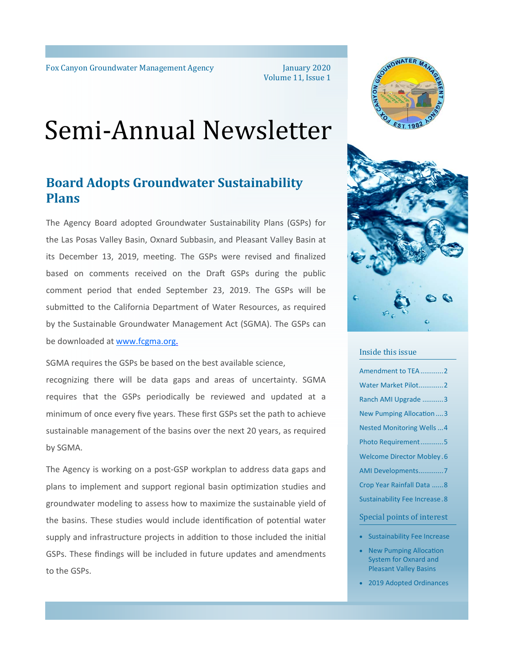January 2020 Volume 11, Issue 1

# Semi-Annual Newsletter

# **Board Adopts Groundwater Sustainability Plans**

The Agency Board adopted Groundwater Sustainability Plans (GSPs) for the Las Posas Valley Basin, Oxnard Subbasin, and Pleasant Valley Basin at its December 13, 2019, meeting. The GSPs were revised and finalized based on comments received on the Draft GSPs during the public comment period that ended September 23, 2019. The GSPs will be submitted to the California Department of Water Resources, as required by the Sustainable Groundwater Management Act (SGMA). The GSPs can be downloaded at www.fcgma.org.

SGMA requires the GSPs be based on the best available science,

recognizing there will be data gaps and areas of uncertainty. SGMA requires that the GSPs periodically be reviewed and updated at a minimum of once every five years. These first GSPs set the path to achieve sustainable management of the basins over the next 20 years, as required by SGMA.

The Agency is working on a post‐GSP workplan to address data gaps and plans to implement and support regional basin optimization studies and groundwater modeling to assess how to maximize the sustainable yield of the basins. These studies would include identification of potential water supply and infrastructure projects in addition to those included the initial GSPs. These findings will be included in future updates and amendments to the GSPs.





#### Inside this issue

Amendment to TEA ............2 Water Market Pilot ..............2 Ranch AMI Upgrade ........... 3 New Pumping Allocation .... 3 Nested Monitoring Wells ... 4 Photo Requirement ............ 5 Welcome Director Mobley . 6 AMI Developments ............. 7 Crop Year Rainfall Data ...... 8 Sustainability Fee Increase . 8

#### Special points of interest

- Sustainability Fee Increase
- New Pumping Allocation System for Oxnard and Pleasant Valley Basins
- 2019 Adopted Ordinances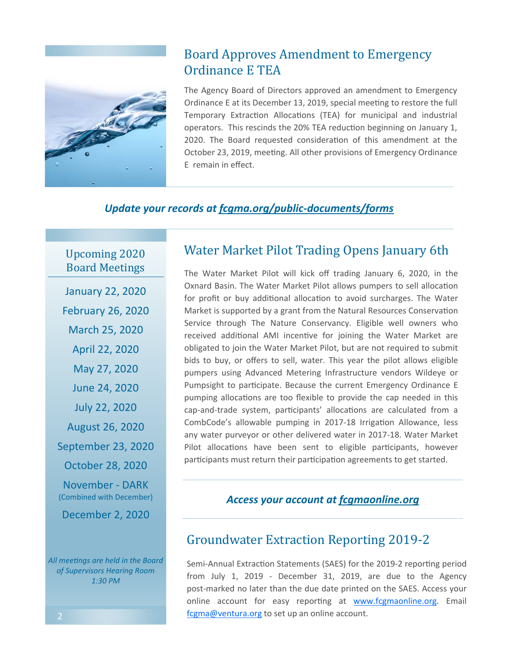

# Board Approves Amendment to Emergency Ordinance E TEA

The Agency Board of Directors approved an amendment to Emergency Ordinance E at its December 13, 2019, special meeting to restore the full Temporary Extraction Allocations (TEA) for municipal and industrial operators. This rescinds the 20% TEA reduction beginning on January 1, 2020. The Board requested consideration of this amendment at the October 23, 2019, meeting. All other provisions of Emergency Ordinance E remain in effect.

### *Update your records at fcgma.org/public‐documents/forms*

Upcoming 2020 Board Meetings

January 22, 2020 February 26, 2020 March 25, 2020 April 22, 2020 May 27, 2020 June 24, 2020 July 22, 2020 August 26, 2020 September 23, 2020 October 28, 2020 November ‐ DARK (Combined with December) December 2, 2020

*All meeƟngs are held in the Board of Supervisors Hearing Room 1:30 PM*

# Water Market Pilot Trading Opens January 6th

The Water Market Pilot will kick off trading January 6, 2020, in the Oxnard Basin. The Water Market Pilot allows pumpers to sell allocation for profit or buy additional allocation to avoid surcharges. The Water Market is supported by a grant from the Natural Resources Conservation Service through The Nature Conservancy. Eligible well owners who received additional AMI incentive for joining the Water Market are obligated to join the Water Market Pilot, but are not required to submit bids to buy, or offers to sell, water. This year the pilot allows eligible pumpers using Advanced Metering Infrastructure vendors Wildeye or Pumpsight to participate. Because the current Emergency Ordinance E pumping allocations are too flexible to provide the cap needed in this cap-and-trade system, participants' allocations are calculated from a CombCode's allowable pumping in 2017-18 Irrigation Allowance, less any water purveyor or other delivered water in 2017‐18. Water Market Pilot allocations have been sent to eligible participants, however participants must return their participation agreements to get started.

### *Access your account at fcgmaonline.org*

# Groundwater Extraction Reporting 2019-2

Semi-Annual Extraction Statements (SAES) for the 2019-2 reporting period from July 1, 2019 ‐ December 31, 2019, are due to the Agency post-marked no later than the due date printed on the SAES. Access your online account for easy reporting at www.fcgmaonline.org. Email fcgma@ventura.org to set up an online account.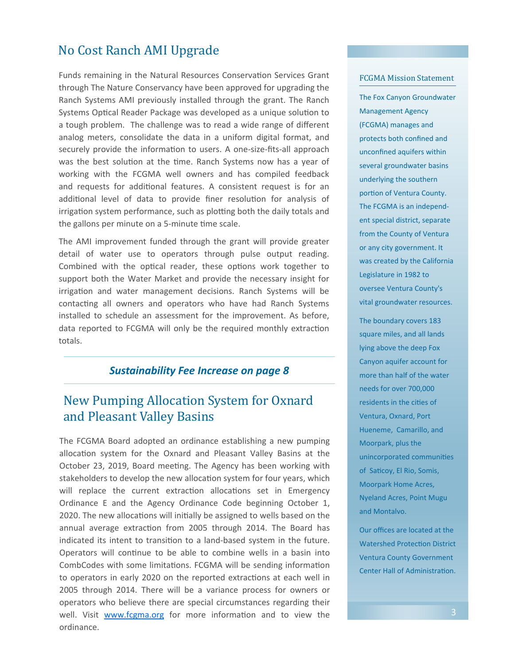# No Cost Ranch AMI Upgrade

Funds remaining in the Natural Resources Conservation Services Grant through The Nature Conservancy have been approved for upgrading the Ranch Systems AMI previously installed through the grant. The Ranch Systems Optical Reader Package was developed as a unique solution to a tough problem. The challenge was to read a wide range of different analog meters, consolidate the data in a uniform digital format, and securely provide the information to users. A one-size-fits-all approach was the best solution at the time. Ranch Systems now has a year of working with the FCGMA well owners and has compiled feedback and requests for additional features. A consistent request is for an additional level of data to provide finer resolution for analysis of irrigation system performance, such as plotting both the daily totals and the gallons per minute on a 5-minute time scale.

The AMI improvement funded through the grant will provide greater detail of water use to operators through pulse output reading. Combined with the optical reader, these options work together to support both the Water Market and provide the necessary insight for irrigation and water management decisions. Ranch Systems will be contacting all owners and operators who have had Ranch Systems installed to schedule an assessment for the improvement. As before, data reported to FCGMA will only be the required monthly extraction totals.

### *Sustainability Fee Increase on page 8*

# New Pumping Allocation System for Oxnard and Pleasant Valley Basins

The FCGMA Board adopted an ordinance establishing a new pumping allocation system for the Oxnard and Pleasant Valley Basins at the October 23, 2019, Board meeting. The Agency has been working with stakeholders to develop the new allocation system for four years, which will replace the current extraction allocations set in Emergency Ordinance E and the Agency Ordinance Code beginning October 1, 2020. The new allocations will initially be assigned to wells based on the annual average extraction from 2005 through 2014. The Board has indicated its intent to transition to a land-based system in the future. Operators will continue to be able to combine wells in a basin into CombCodes with some limitations. FCGMA will be sending information to operators in early 2020 on the reported extractions at each well in 2005 through 2014. There will be a variance process for owners or operators who believe there are special circumstances regarding their well. Visit www.fcgma.org for more information and to view the ordinance.

#### FCGMA Mission Statement

The Fox Canyon Groundwater Management Agency (FCGMA) manages and protects both confined and unconfined aquifers within several groundwater basins underlying the southern portion of Ventura County. The FCGMA is an independ‐ ent special district, separate from the County of Ventura or any city government. It was created by the California Legislature in 1982 to oversee Ventura County's vital groundwater resources.

The boundary covers 183 square miles, and all lands lying above the deep Fox Canyon aquifer account for more than half of the water needs for over 700,000 residents in the cities of Ventura, Oxnard, Port Hueneme, Camarillo, and Moorpark, plus the unincorporated communities of Saticoy, El Rio, Somis, Moorpark Home Acres, Nyeland Acres, Point Mugu and Montalvo.

Our offices are located at the Watershed Protection District Ventura County Government Center Hall of Administration.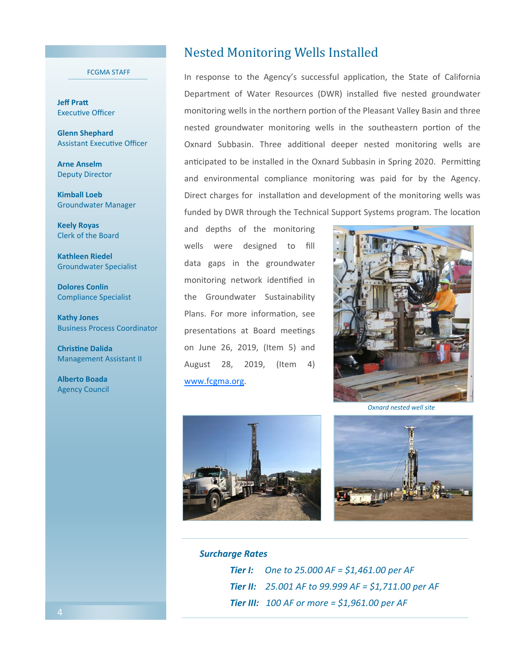#### FCGMA STAFF

**Jeff Pratt** Executive Officer

**Glenn Shephard Assistant Executive Officer** 

**Arne Anselm** Deputy Director

**Kimball Loeb** Groundwater Manager

**Keely Royas** Clerk of the Board

**Kathleen Riedel**  Groundwater Specialist

**Dolores Conlin**  Compliance Specialist

**Kathy Jones**  Business Process Coordinator

**ChrisƟne Dalida**  Management Assistant II

**Alberto Boada**  Agency Council

### Nested Monitoring Wells Installed

In response to the Agency's successful application, the State of California Department of Water Resources (DWR) installed five nested groundwater monitoring wells in the northern portion of the Pleasant Valley Basin and three nested groundwater monitoring wells in the southeastern portion of the Oxnard Subbasin. Three additional deeper nested monitoring wells are anticipated to be installed in the Oxnard Subbasin in Spring 2020. Permitting and environmental compliance monitoring was paid for by the Agency. Direct charges for installation and development of the monitoring wells was funded by DWR through the Technical Support Systems program. The location

and depths of the monitoring wells were designed to fill data gaps in the groundwater monitoring network identified in the Groundwater Sustainability Plans. For more information, see presentations at Board meetings on June 26, 2019, (Item 5) and August 28, 2019, (Item 4) www.fcgma.org.



*Oxnard nested well site* 





#### *Surcharge Rates*

 *Tier I: One to 25.000 AF = \$1,461.00 per AF Tier II: 25.001 AF to 99.999 AF = \$1,711.00 per AF Tier III: 100 AF or more = \$1,961.00 per AF*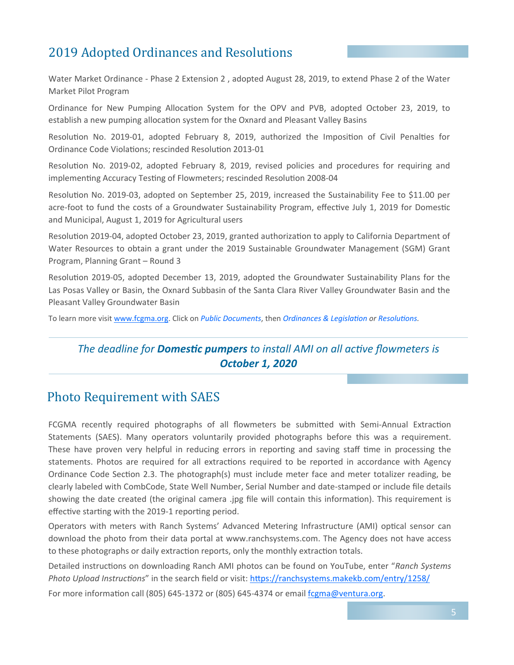# 2019 Adopted Ordinances and Resolutions

Water Market Ordinance ‐ Phase 2 Extension 2 , adopted August 28, 2019, to extend Phase 2 of the Water Market Pilot Program

Ordinance for New Pumping Allocation System for the OPV and PVB, adopted October 23, 2019, to establish a new pumping allocation system for the Oxnard and Pleasant Valley Basins

Resolution No. 2019-01, adopted February 8, 2019, authorized the Imposition of Civil Penalties for Ordinance Code Violations; rescinded Resolution 2013-01

Resolution No. 2019-02, adopted February 8, 2019, revised policies and procedures for requiring and implementing Accuracy Testing of Flowmeters; rescinded Resolution 2008-04

Resolution No. 2019-03, adopted on September 25, 2019, increased the Sustainability Fee to \$11.00 per acre-foot to fund the costs of a Groundwater Sustainability Program, effective July 1, 2019 for Domestic and Municipal, August 1, 2019 for Agricultural users

Resolution 2019-04, adopted October 23, 2019, granted authorization to apply to California Department of Water Resources to obtain a grant under the 2019 Sustainable Groundwater Management (SGM) Grant Program, Planning Grant – Round 3

Resolution 2019-05, adopted December 13, 2019, adopted the Groundwater Sustainability Plans for the Las Posas Valley or Basin, the Oxnard Subbasin of the Santa Clara River Valley Groundwater Basin and the Pleasant Valley Groundwater Basin

To learn more visit www.fcgma.org. Click on *Public Documents*, then *Ordinances & Legislation or Resolutions*.

### *The deadline for Domestic pumpers to install AMI on all active flowmeters is October 1, 2020*

### Photo Requirement with SAES

FCGMA recently required photographs of all flowmeters be submitted with Semi-Annual Extraction Statements (SAES). Many operators voluntarily provided photographs before this was a requirement. These have proven very helpful in reducing errors in reporting and saving staff time in processing the statements. Photos are required for all extractions required to be reported in accordance with Agency Ordinance Code Section 2.3. The photograph(s) must include meter face and meter totalizer reading, be clearly labeled with CombCode, State Well Number, Serial Number and date‐stamped or include file details showing the date created (the original camera .jpg file will contain this information). This requirement is effective starting with the 2019-1 reporting period.

Operators with meters with Ranch Systems' Advanced Metering Infrastructure (AMI) optical sensor can download the photo from their data portal at www.ranchsystems.com. The Agency does not have access to these photographs or daily extraction reports, only the monthly extraction totals.

Detailed instructions on downloading Ranch AMI photos can be found on YouTube, enter "Ranch Systems Photo Upload Instructions" in the search field or visit: https://ranchsystems.makekb.com/entry/1258/

For more information call (805) 645-1372 or (805) 645-4374 or email fcgma@ventura.org.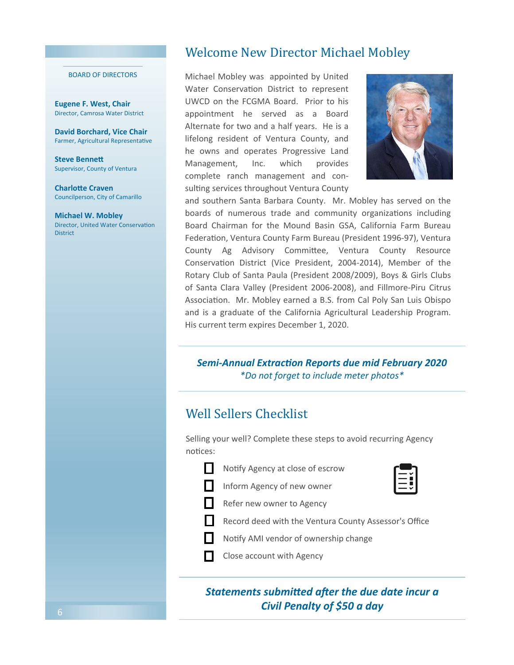#### BOARD OF DIRECTORS

**Eugene F. West, Chair**  Director, Camrosa Water District

**David Borchard, Vice Chair** Farmer, Agricultural Representative

**Steve BenneƩ** Supervisor, County of Ventura

**Charlotte Craven** Councilperson, City of Camarillo

**Michael W. Mobley**  Director, United Water Conservation District

### Welcome New Director Michael Mobley

Michael Mobley was appointed by United Water Conservation District to represent UWCD on the FCGMA Board. Prior to his appointment he served as a Board Alternate for two and a half years. He is a lifelong resident of Ventura County, and he owns and operates Progressive Land Management, Inc. which provides complete ranch management and con‐ sulting services throughout Ventura County



and southern Santa Barbara County. Mr. Mobley has served on the boards of numerous trade and community organizations including Board Chairman for the Mound Basin GSA, California Farm Bureau Federation, Ventura County Farm Bureau (President 1996-97), Ventura County Ag Advisory Committee, Ventura County Resource Conservation District (Vice President, 2004-2014), Member of the Rotary Club of Santa Paula (President 2008/2009), Boys & Girls Clubs of Santa Clara Valley (President 2006‐2008), and Fillmore‐Piru Citrus Association. Mr. Mobley earned a B.S. from Cal Poly San Luis Obispo and is a graduate of the California Agricultural Leadership Program. His current term expires December 1, 2020.

### *Semi‐Annual ExtracƟon Reports due mid February 2020 \*Do not forget to include meter photos\**

### Well Sellers Checklist

Selling your well? Complete these steps to avoid recurring Agency notices:

- 
- Notify Agency at close of escrow
	- Inform Agency of new owner



Record deed with the Ventura County Assessor's Office

- Notify AMI vendor of ownership change
- **Close account with Agency**

### **Statements submitted after the due date incur a** *Civil Penalty of \$50 a day*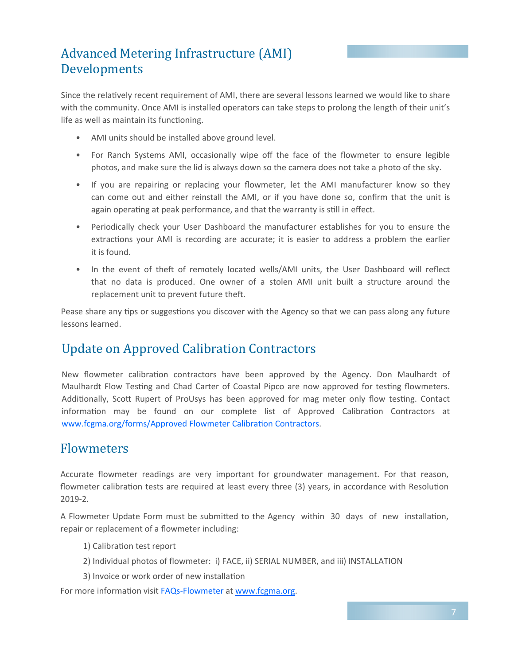# Advanced Metering Infrastructure (AMI) Developments

Since the relatively recent requirement of AMI, there are several lessons learned we would like to share with the community. Once AMI is installed operators can take steps to prolong the length of their unit's life as well as maintain its functioning.

- AMI units should be installed above ground level.
- For Ranch Systems AMI, occasionally wipe off the face of the flowmeter to ensure legible photos, and make sure the lid is always down so the camera does not take a photo of the sky.
- If you are repairing or replacing your flowmeter, let the AMI manufacturer know so they can come out and either reinstall the AMI, or if you have done so, confirm that the unit is again operating at peak performance, and that the warranty is still in effect.
- Periodically check your User Dashboard the manufacturer establishes for you to ensure the extractions your AMI is recording are accurate; it is easier to address a problem the earlier it is found.
- In the event of theft of remotely located wells/AMI units, the User Dashboard will reflect that no data is produced. One owner of a stolen AMI unit built a structure around the replacement unit to prevent future theft.

Pease share any tips or suggestions you discover with the Agency so that we can pass along any future lessons learned.

# Update on Approved Calibration Contractors

New flowmeter calibration contractors have been approved by the Agency. Don Maulhardt of Maulhardt Flow Testing and Chad Carter of Coastal Pipco are now approved for testing flowmeters. Additionally, Scott Rupert of ProUsys has been approved for mag meter only flow testing. Contact information may be found on our complete list of Approved Calibration Contractors at www.fcgma.org/forms/Approved Flowmeter Calibration Contractors.

# Flowmeters

Accurate flowmeter readings are very important for groundwater management. For that reason, flowmeter calibration tests are required at least every three (3) years, in accordance with Resolution 2019‐2.

A Flowmeter Update Form must be submitted to the Agency within 30 days of new installation, repair or replacement of a flowmeter including:

- 1) Calibration test report
- 2) Individual photos of flowmeter: i) FACE, ii) SERIAL NUMBER, and iii) INSTALLATION
- 3) Invoice or work order of new installation

For more information visit FAQs-Flowmeter at www.fcgma.org.